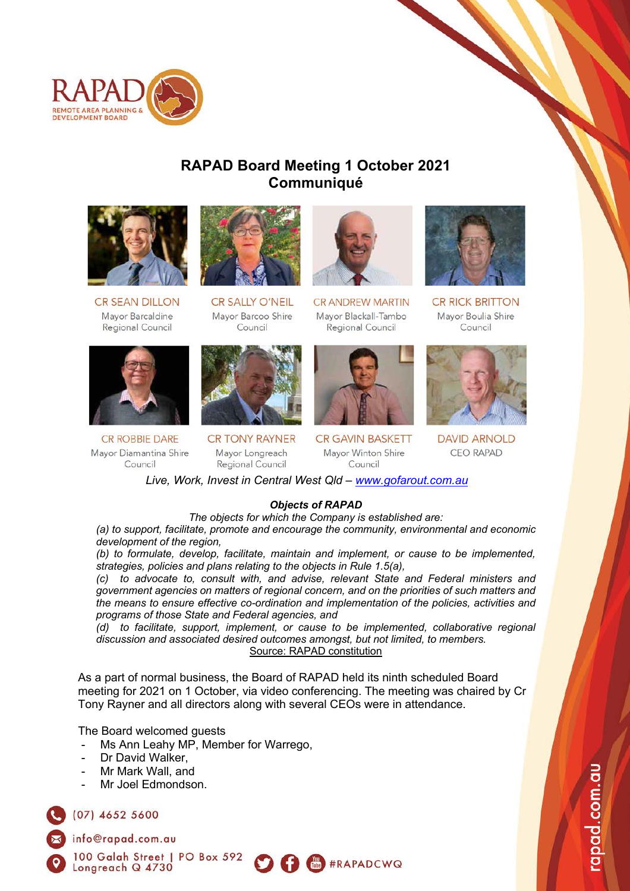

# **RAPAD Board Meeting 1 October 2021 Communiqué**



**CR SEAN DILLON** Mayor Barcaldine Regional Council



**CR ROBBIE DARE** Mayor Diamantina Shire Council



**CR SALLY O'NEIL** Mayor Barcoo Shire Council



**CR TONY RAYNER** Mayor Longreach Regional Council



**CR ANDREW MARTIN** Mayor Blackall-Tambo Regional Council



**CR GAVIN BASKETT** Mayor Winton Shire Council



**CR RICK BRITTON** Mavor Boulia Shire Council



**DAVID ARNOLD CEO RAPAD** 

*Live, Work, Invest in Central West Qld – www.gofarout.com.au*

### *Objects of RAPAD*

*The objects for which the Company is established are:*

*(a) to support, facilitate, promote and encourage the community, environmental and economic development of the region,*

*(b) to formulate, develop, facilitate, maintain and implement, or cause to be implemented, strategies, policies and plans relating to the objects in Rule 1.5(a),*

*(c) to advocate to, consult with, and advise, relevant State and Federal ministers and government agencies on matters of regional concern, and on the priorities of such matters and the means to ensure effective co-ordination and implementation of the policies, activities and programs of those State and Federal agencies, and*

*(d) to facilitate, support, implement, or cause to be implemented, collaborative regional discussion and associated desired outcomes amongst, but not limited, to members.* Source: RAPAD constitution

**O O E** #RAPADCWQ

As a part of normal business, the Board of RAPAD held its ninth scheduled Board meeting for 2021 on 1 October, via video conferencing. The meeting was chaired by Cr Tony Rayner and all directors along with several CEOs were in attendance.

The Board welcomed guests

- Ms Ann Leahy MP, Member for Warrego,
- Dr David Walker,
- Mr Mark Wall, and
- Mr Joel Edmondson

 $(07)$  4652 5600

info@rapad.com.au

100 Galah Street | PO Box 592 Longreach Q 4730



apad.com.au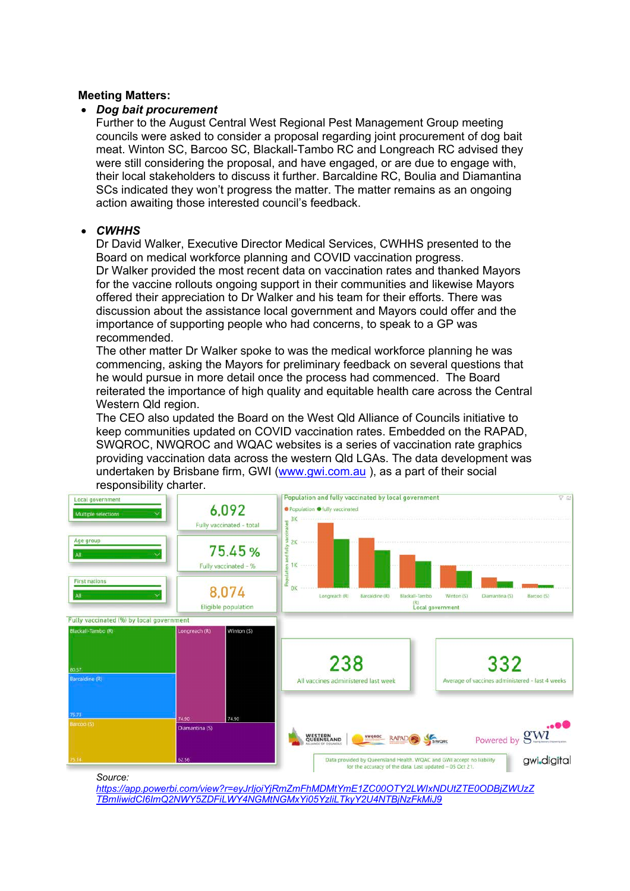#### **Meeting Matters:**

#### • *Dog bait procurement*

Further to the August Central West Regional Pest Management Group meeting councils were asked to consider a proposal regarding joint procurement of dog bait meat. Winton SC, Barcoo SC, Blackall-Tambo RC and Longreach RC advised they were still considering the proposal, and have engaged, or are due to engage with, their local stakeholders to discuss it further. Barcaldine RC, Boulia and Diamantina SCs indicated they won't progress the matter. The matter remains as an ongoing action awaiting those interested council's feedback.

### • *CWHHS*

Dr David Walker, Executive Director Medical Services, CWHHS presented to the Board on medical workforce planning and COVID vaccination progress. Dr Walker provided the most recent data on vaccination rates and thanked Mayors for the vaccine rollouts ongoing support in their communities and likewise Mayors offered their appreciation to Dr Walker and his team for their efforts. There was discussion about the assistance local government and Mayors could offer and the importance of supporting people who had concerns, to speak to a GP was recommended.

The other matter Dr Walker spoke to was the medical workforce planning he was commencing, asking the Mayors for preliminary feedback on several questions that he would pursue in more detail once the process had commenced. The Board reiterated the importance of high quality and equitable health care across the Central Western Qld region.

The CEO also updated the Board on the West Qld Alliance of Councils initiative to keep communities updated on COVID vaccination rates. Embedded on the RAPAD, SWQROC, NWQROC and WQAC websites is a series of vaccination rate graphics providing vaccination data across the western Qld LGAs. The data development was undertaken by Brisbane firm, GWI (www.gwi.com.au ), as a part of their social responsibility charter.



*Source:* 

*https://app.powerbi.com/view?r=eyJrIjoiYjRmZmFhMDMtYmE1ZC00OTY2LWIxNDUtZTE0ODBjZWUzZ TBmIiwidCI6ImQ2NWY5ZDFiLWY4NGMtNGMxYi05YzliLTkyY2U4NTBjNzFkMiJ9*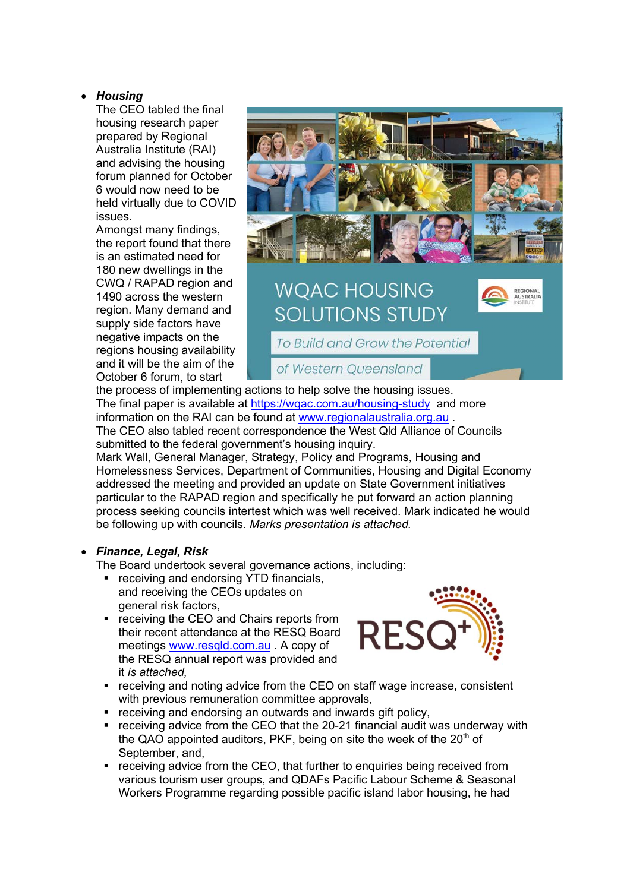## • *Housing*

The CEO tabled the final housing research paper prepared by Regional Australia Institute (RAI) and advising the housing forum planned for October 6 would now need to be held virtually due to COVID issues.

Amongst many findings, the report found that there is an estimated need for 180 new dwellings in the CWQ / RAPAD region and 1490 across the western region. Many demand and supply side factors have negative impacts on the regions housing availability and it will be the aim of the October 6 forum, to start



the process of implementing actions to help solve the housing issues. The final paper is available at https://wgac.com.au/housing-study and more information on the RAI can be found at www.regionalaustralia.org.au . The CEO also tabled recent correspondence the West Qld Alliance of Councils

of Western Queensland

submitted to the federal government's housing inquiry. Mark Wall, General Manager, Strategy, Policy and Programs, Housing and Homelessness Services, Department of Communities, Housing and Digital Economy addressed the meeting and provided an update on State Government initiatives particular to the RAPAD region and specifically he put forward an action planning

process seeking councils intertest which was well received. Mark indicated he would

# • *Finance, Legal, Risk*

The Board undertook several governance actions, including:

be following up with councils. *Marks presentation is attached.*

- receiving and endorsing YTD financials, and receiving the CEOs updates on general risk factors,
- receiving the CEO and Chairs reports from their recent attendance at the RESQ Board meetings www.resqld.com.au . A copy of the RESQ annual report was provided and it *is attached,*



- receiving and noting advice from the CEO on staff wage increase, consistent with previous remuneration committee approvals,
- receiving and endorsing an outwards and inwards gift policy,
- receiving advice from the CEO that the 20-21 financial audit was underway with the QAO appointed auditors, PKF, being on site the week of the  $20<sup>th</sup>$  of September, and,
- receiving advice from the CEO, that further to enquiries being received from various tourism user groups, and QDAFs Pacific Labour Scheme & Seasonal Workers Programme regarding possible pacific island labor housing, he had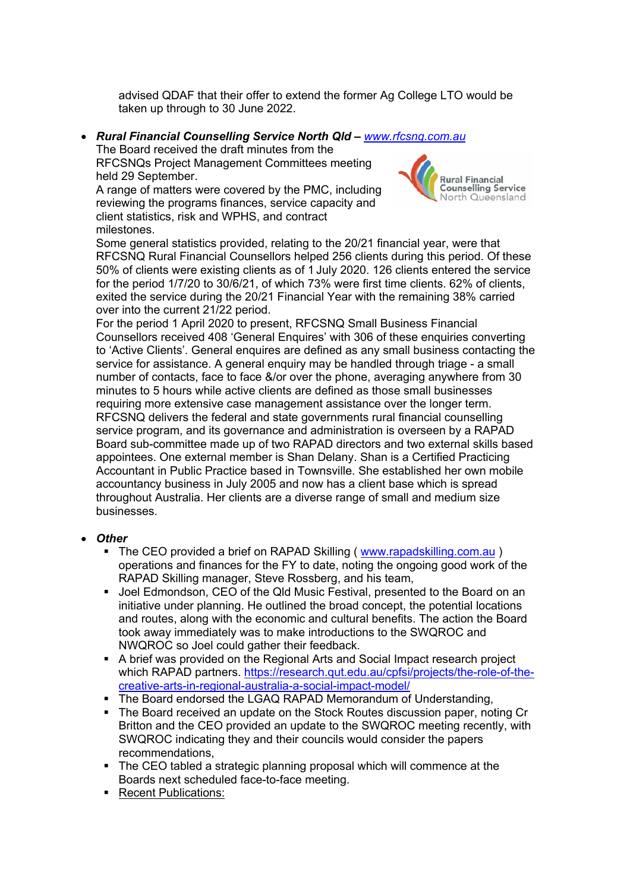advised QDAF that their offer to extend the former Ag College LTO would be taken up through to 30 June 2022.

• *Rural Financial Counselling Service North Qld – www.rfcsnq.com.au*

The Board received the draft minutes from the RFCSNQs Project Management Committees meeting held 29 September.

A range of matters were covered by the PMC, including reviewing the programs finances, service capacity and client statistics, risk and WPHS, and contract milestones.



Some general statistics provided, relating to the 20/21 financial year, were that RFCSNQ Rural Financial Counsellors helped 256 clients during this period. Of these 50% of clients were existing clients as of 1 July 2020. 126 clients entered the service for the period 1/7/20 to 30/6/21, of which 73% were first time clients. 62% of clients, exited the service during the 20/21 Financial Year with the remaining 38% carried over into the current 21/22 period.

For the period 1 April 2020 to present, RFCSNQ Small Business Financial Counsellors received 408 'General Enquires' with 306 of these enquiries converting to 'Active Clients'. General enquires are defined as any small business contacting the service for assistance. A general enquiry may be handled through triage - a small number of contacts, face to face &/or over the phone, averaging anywhere from 30 minutes to 5 hours while active clients are defined as those small businesses requiring more extensive case management assistance over the longer term. RFCSNQ delivers the federal and state governments rural financial counselling service program, and its governance and administration is overseen by a RAPAD Board sub-committee made up of two RAPAD directors and two external skills based appointees. One external member is Shan Delany. Shan is a Certified Practicing Accountant in Public Practice based in Townsville. She established her own mobile accountancy business in July 2005 and now has a client base which is spread throughout Australia. Her clients are a diverse range of small and medium size businesses.

### • *Other*

- The CEO provided a brief on RAPAD Skilling ( www.rapadskilling.com.au ) operations and finances for the FY to date, noting the ongoing good work of the RAPAD Skilling manager, Steve Rossberg, and his team,
- § Joel Edmondson, CEO of the Qld Music Festival, presented to the Board on an initiative under planning. He outlined the broad concept, the potential locations and routes, along with the economic and cultural benefits. The action the Board took away immediately was to make introductions to the SWQROC and NWQROC so Joel could gather their feedback.
- A brief was provided on the Regional Arts and Social Impact research project which RAPAD partners. https://research.qut.edu.au/cpfsi/projects/the-role-of-thecreative-arts-in-regional-australia-a-social-impact-model/
- The Board endorsed the LGAQ RAPAD Memorandum of Understanding,
- The Board received an update on the Stock Routes discussion paper, noting Cr Britton and the CEO provided an update to the SWQROC meeting recently, with SWQROC indicating they and their councils would consider the papers recommendations,
- The CEO tabled a strategic planning proposal which will commence at the Boards next scheduled face-to-face meeting.
- Recent Publications: